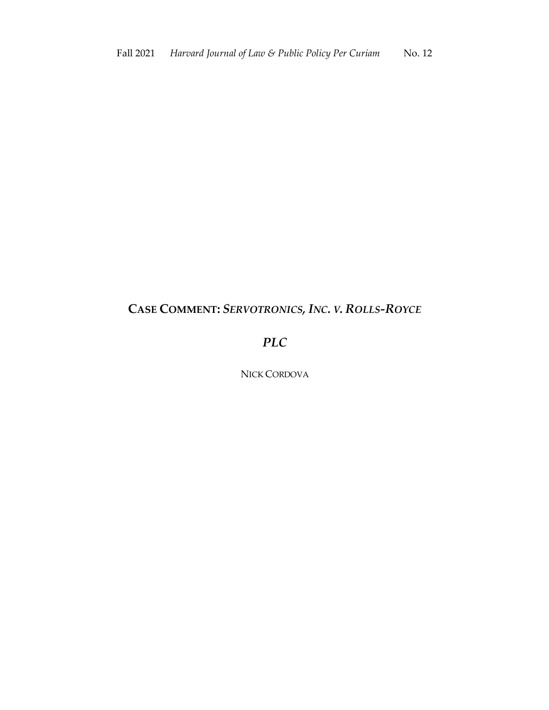# **CASE COMMENT:** *SERVOTRONICS, INC. V. ROLLS-ROYCE*

# *PLC*

NICK CORDOVA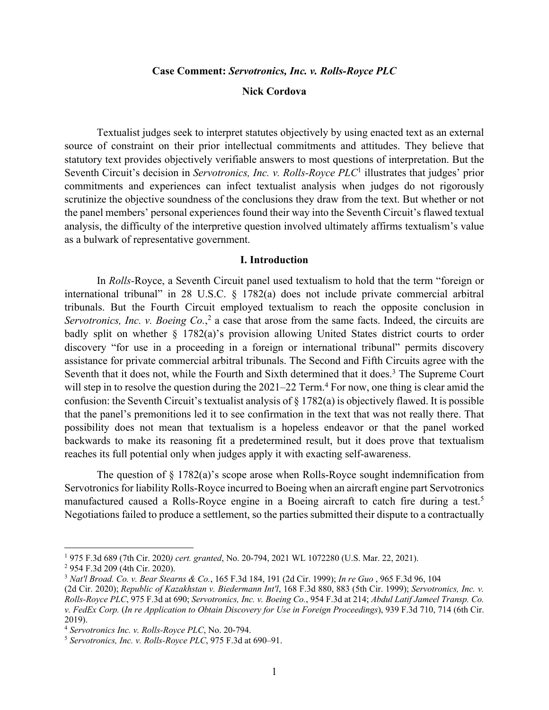#### **Case Comment:** *Servotronics, Inc. v. Rolls-Royce PLC*

### **Nick Cordova**

Textualist judges seek to interpret statutes objectively by using enacted text as an external source of constraint on their prior intellectual commitments and attitudes. They believe that statutory text provides objectively verifiable answers to most questions of interpretation. But the Seventh Circuit's decision in *Servotronics, Inc. v. Rolls-Royce PLC*<sup>1</sup> illustrates that judges' prior commitments and experiences can infect textualist analysis when judges do not rigorously scrutinize the objective soundness of the conclusions they draw from the text. But whether or not the panel members' personal experiences found their way into the Seventh Circuit's flawed textual analysis, the difficulty of the interpretive question involved ultimately affirms textualism's value as a bulwark of representative government.

#### **I. Introduction**

In *Rolls-*Royce, a Seventh Circuit panel used textualism to hold that the term "foreign or international tribunal" in 28 U.S.C. § 1782(a) does not include private commercial arbitral tribunals. But the Fourth Circuit employed textualism to reach the opposite conclusion in Servotronics, Inc. v. Boeing Co.,<sup>2</sup> a case that arose from the same facts. Indeed, the circuits are badly split on whether § 1782(a)'s provision allowing United States district courts to order discovery "for use in a proceeding in a foreign or international tribunal" permits discovery assistance for private commercial arbitral tribunals. The Second and Fifth Circuits agree with the Seventh that it does not, while the Fourth and Sixth determined that it does.<sup>3</sup> The Supreme Court will step in to resolve the question during the  $2021-22$  Term.<sup>4</sup> For now, one thing is clear amid the confusion: the Seventh Circuit's textualist analysis of § 1782(a) is objectively flawed. It is possible that the panel's premonitions led it to see confirmation in the text that was not really there. That possibility does not mean that textualism is a hopeless endeavor or that the panel worked backwards to make its reasoning fit a predetermined result, but it does prove that textualism reaches its full potential only when judges apply it with exacting self-awareness.

The question of  $\S 1782(a)$ 's scope arose when Rolls-Royce sought indemnification from Servotronics for liability Rolls-Royce incurred to Boeing when an aircraft engine part Servotronics manufactured caused a Rolls-Royce engine in a Boeing aircraft to catch fire during a test.<sup>5</sup> Negotiations failed to produce a settlement, so the parties submitted their dispute to a contractually

<sup>1</sup> 975 F.3d 689 (7th Cir. 2020*) cert. granted*, No. 20-794, 2021 WL 1072280 (U.S. Mar. 22, 2021).

<sup>2</sup> 954 F.3d 209 (4th Cir. 2020).

<sup>3</sup> *Nat'l Broad. Co. v. Bear Stearns & Co.*, 165 F.3d 184, 191 (2d Cir. 1999); *In re Guo* , 965 F.3d 96, 104 (2d Cir. 2020); *Republic of Kazakhstan v. Biedermann Int'l*, 168 F.3d 880, 883 (5th Cir. 1999); *Servotronics, Inc. v. Rolls-Royce PLC*, 975 F.3d at 690; *Servotronics, Inc. v. Boeing Co.*, 954 F.3d at 214; *Abdul Latif Jameel Transp. Co. v. FedEx Corp.* (*In re Application to Obtain Discovery for Use in Foreign Proceedings*), 939 F.3d 710, 714 (6th Cir. 2019).

<sup>4</sup> *Servotronics Inc. v. Rolls-Royce PLC*, No. 20-794.

<sup>5</sup> *Servotronics, Inc. v. Rolls-Royce PLC*, 975 F.3d at 690–91.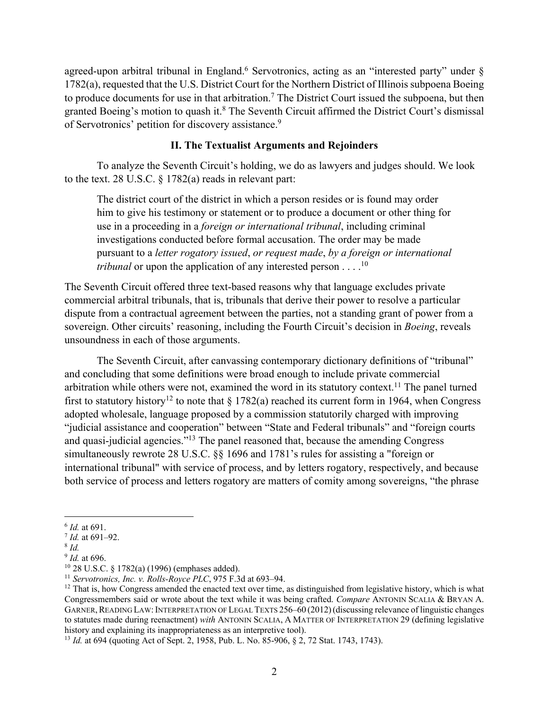agreed-upon arbitral tribunal in England.<sup>6</sup> Servotronics, acting as an "interested party" under  $\S$ 1782(a), requested that the U.S. District Court for the Northern District of Illinois subpoena Boeing to produce documents for use in that arbitration.<sup>7</sup> The District Court issued the subpoena, but then granted Boeing's motion to quash it.<sup>8</sup> The Seventh Circuit affirmed the District Court's dismissal of Servotronics' petition for discovery assistance.<sup>9</sup>

## **II. The Textualist Arguments and Rejoinders**

To analyze the Seventh Circuit's holding, we do as lawyers and judges should. We look to the text. 28 U.S.C. § 1782(a) reads in relevant part:

The district court of the district in which a person resides or is found may order him to give his testimony or statement or to produce a document or other thing for use in a proceeding in a *foreign or international tribunal*, including criminal investigations conducted before formal accusation. The order may be made pursuant to a *letter rogatory issued*, *or request made*, *by a foreign or international tribunal* or upon the application of any interested person  $\dots$ <sup>10</sup>

The Seventh Circuit offered three text-based reasons why that language excludes private commercial arbitral tribunals, that is, tribunals that derive their power to resolve a particular dispute from a contractual agreement between the parties, not a standing grant of power from a sovereign. Other circuits' reasoning, including the Fourth Circuit's decision in *Boeing*, reveals unsoundness in each of those arguments.

The Seventh Circuit, after canvassing contemporary dictionary definitions of "tribunal" and concluding that some definitions were broad enough to include private commercial arbitration while others were not, examined the word in its statutory context.<sup>11</sup> The panel turned first to statutory history<sup>12</sup> to note that  $\S 1782(a)$  reached its current form in 1964, when Congress adopted wholesale, language proposed by a commission statutorily charged with improving "judicial assistance and cooperation" between "State and Federal tribunals" and "foreign courts and quasi-judicial agencies."13 The panel reasoned that, because the amending Congress simultaneously rewrote 28 U.S.C. §§ 1696 and 1781's rules for assisting a "foreign or international tribunal" with service of process, and by letters rogatory, respectively, and because both service of process and letters rogatory are matters of comity among sovereigns, "the phrase

<sup>6</sup> *Id.* at 691.

<sup>7</sup> *Id.* at 691–92.

<sup>8</sup> *Id.*

<sup>9</sup> *Id.* at 696.

<sup>&</sup>lt;sup>10</sup> 28 U.S.C. § 1782(a) (1996) (emphases added).<br><sup>11</sup> Servotronics, Inc. v. Rolls-Royce PLC, 975 F.3d at 693–94.

<sup>&</sup>lt;sup>12</sup> That is, how Congress amended the enacted text over time, as distinguished from legislative history, which is what Congressmembers said or wrote about the text while it was being crafted. *Compare* ANTONIN SCALIA & BRYAN A. GARNER, READING LAW: INTERPRETATION OF LEGAL TEXTS 256–60 (2012) (discussing relevance of linguistic changes to statutes made during reenactment) *with* ANTONIN SCALIA, A MATTER OF INTERPRETATION 29 (defining legislative history and explaining its inappropriateness as an interpretive tool).

<sup>13</sup> *Id.* at 694 (quoting Act of Sept. 2, 1958, Pub. L. No. 85-906, § 2, 72 Stat. 1743, 1743).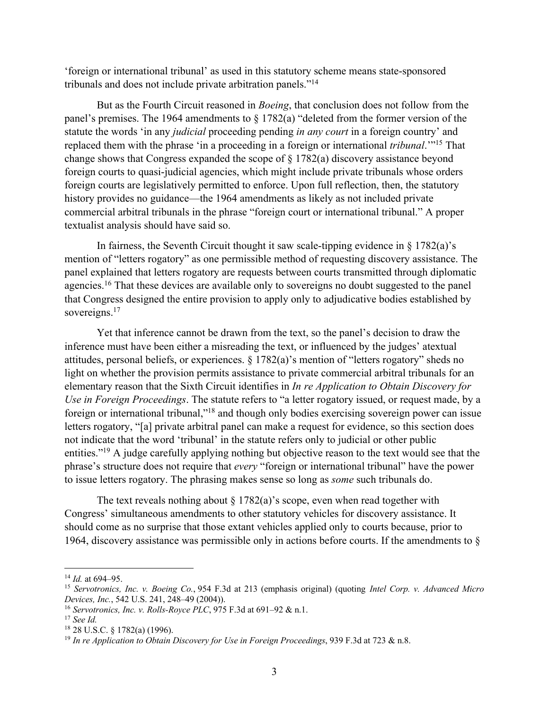'foreign or international tribunal' as used in this statutory scheme means state-sponsored tribunals and does not include private arbitration panels."14

But as the Fourth Circuit reasoned in *Boeing*, that conclusion does not follow from the panel's premises. The 1964 amendments to § 1782(a) "deleted from the former version of the statute the words 'in any *judicial* proceeding pending *in any court* in a foreign country' and replaced them with the phrase 'in a proceeding in a foreign or international *tribunal*.'"15 That change shows that Congress expanded the scope of § 1782(a) discovery assistance beyond foreign courts to quasi-judicial agencies, which might include private tribunals whose orders foreign courts are legislatively permitted to enforce. Upon full reflection, then, the statutory history provides no guidance—the 1964 amendments as likely as not included private commercial arbitral tribunals in the phrase "foreign court or international tribunal." A proper textualist analysis should have said so.

In fairness, the Seventh Circuit thought it saw scale-tipping evidence in  $\S 1782(a)$ 's mention of "letters rogatory" as one permissible method of requesting discovery assistance. The panel explained that letters rogatory are requests between courts transmitted through diplomatic agencies.<sup>16</sup> That these devices are available only to sovereigns no doubt suggested to the panel that Congress designed the entire provision to apply only to adjudicative bodies established by sovereigns.<sup>17</sup>

Yet that inference cannot be drawn from the text, so the panel's decision to draw the inference must have been either a misreading the text, or influenced by the judges' atextual attitudes, personal beliefs, or experiences. § 1782(a)'s mention of "letters rogatory" sheds no light on whether the provision permits assistance to private commercial arbitral tribunals for an elementary reason that the Sixth Circuit identifies in *In re Application to Obtain Discovery for Use in Foreign Proceedings*. The statute refers to "a letter rogatory issued, or request made, by a foreign or international tribunal,"18 and though only bodies exercising sovereign power can issue letters rogatory, "[a] private arbitral panel can make a request for evidence, so this section does not indicate that the word 'tribunal' in the statute refers only to judicial or other public entities."<sup>19</sup> A judge carefully applying nothing but objective reason to the text would see that the phrase's structure does not require that *every* "foreign or international tribunal" have the power to issue letters rogatory. The phrasing makes sense so long as *some* such tribunals do.

The text reveals nothing about  $\S 1782(a)$ 's scope, even when read together with Congress' simultaneous amendments to other statutory vehicles for discovery assistance. It should come as no surprise that those extant vehicles applied only to courts because, prior to 1964, discovery assistance was permissible only in actions before courts. If the amendments to §

<sup>14</sup> *Id.* at 694–95.

<sup>15</sup> *Servotronics, Inc. v. Boeing Co.*, 954 F.3d at 213 (emphasis original) (quoting *Intel Corp. v. Advanced Micro Devices, Inc.*, 542 U.S. 241, 248–49 (2004)).

<sup>16</sup> *Servotronics, Inc. v. Rolls-Royce PLC*, 975 F.3d at 691–92 & n.1.

<sup>17</sup> *See Id.*

<sup>18</sup> 28 U.S.C. § 1782(a) (1996).

<sup>19</sup> *In re Application to Obtain Discovery for Use in Foreign Proceedings*, 939 F.3d at 723 & n.8.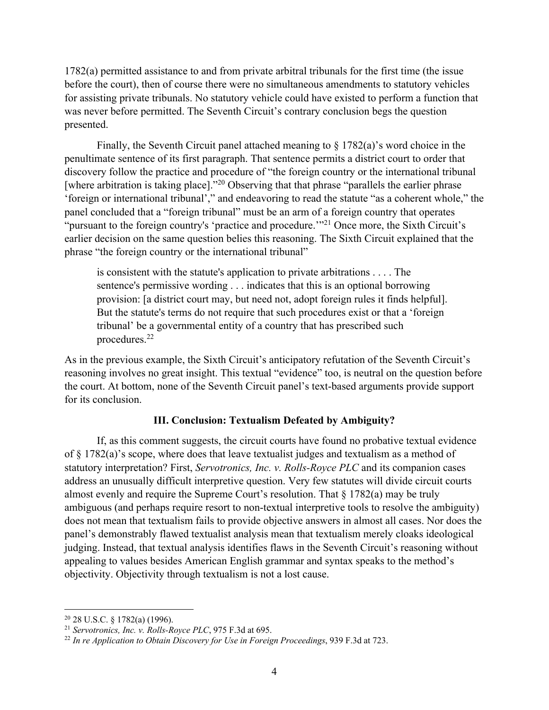1782(a) permitted assistance to and from private arbitral tribunals for the first time (the issue before the court), then of course there were no simultaneous amendments to statutory vehicles for assisting private tribunals. No statutory vehicle could have existed to perform a function that was never before permitted. The Seventh Circuit's contrary conclusion begs the question presented.

Finally, the Seventh Circuit panel attached meaning to  $\S 1782(a)$ 's word choice in the penultimate sentence of its first paragraph. That sentence permits a district court to order that discovery follow the practice and procedure of "the foreign country or the international tribunal [where arbitration is taking place]."<sup>20</sup> Observing that that phrase "parallels the earlier phrase 'foreign or international tribunal'," and endeavoring to read the statute "as a coherent whole," the panel concluded that a "foreign tribunal" must be an arm of a foreign country that operates "pursuant to the foreign country's 'practice and procedure."<sup>21</sup> Once more, the Sixth Circuit's earlier decision on the same question belies this reasoning. The Sixth Circuit explained that the phrase "the foreign country or the international tribunal"

is consistent with the statute's application to private arbitrations . . . . The sentence's permissive wording . . . indicates that this is an optional borrowing provision: [a district court may, but need not, adopt foreign rules it finds helpful]. But the statute's terms do not require that such procedures exist or that a 'foreign tribunal' be a governmental entity of a country that has prescribed such procedures.22

As in the previous example, the Sixth Circuit's anticipatory refutation of the Seventh Circuit's reasoning involves no great insight. This textual "evidence" too, is neutral on the question before the court. At bottom, none of the Seventh Circuit panel's text-based arguments provide support for its conclusion.

### **III. Conclusion: Textualism Defeated by Ambiguity?**

If, as this comment suggests, the circuit courts have found no probative textual evidence of § 1782(a)'s scope, where does that leave textualist judges and textualism as a method of statutory interpretation? First, *Servotronics, Inc. v. Rolls-Royce PLC* and its companion cases address an unusually difficult interpretive question. Very few statutes will divide circuit courts almost evenly and require the Supreme Court's resolution. That  $\S 1782(a)$  may be truly ambiguous (and perhaps require resort to non-textual interpretive tools to resolve the ambiguity) does not mean that textualism fails to provide objective answers in almost all cases. Nor does the panel's demonstrably flawed textualist analysis mean that textualism merely cloaks ideological judging. Instead, that textual analysis identifies flaws in the Seventh Circuit's reasoning without appealing to values besides American English grammar and syntax speaks to the method's objectivity. Objectivity through textualism is not a lost cause.

 $20$  28 U.S.C. § 1782(a) (1996).

<sup>21</sup> *Servotronics, Inc. v. Rolls-Royce PLC*, 975 F.3d at 695.

<sup>22</sup> *In re Application to Obtain Discovery for Use in Foreign Proceedings*, 939 F.3d at 723.